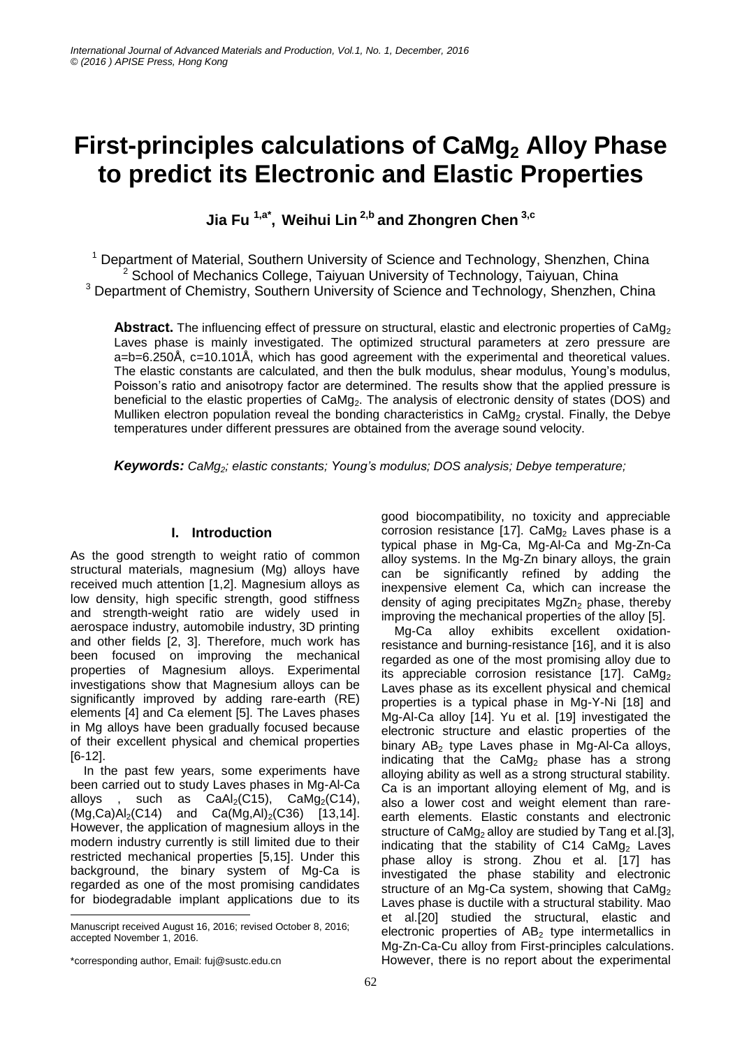# **First-principles calculations of CaMg<sup>2</sup> Alloy Phase to predict its Electronic and Elastic Properties**

**Jia Fu 1,a\* , Weihui Lin 2,b and Zhongren Chen 3,c**

<sup>1</sup> Department of Material, Southern University of Science and Technology, Shenzhen, China <sup>2</sup> School of Mechanics College, Taiyuan University of Technology, Taiyuan, China

<sup>3</sup> Department of Chemistry, Southern University of Science and Technology, Shenzhen, China

Abstract. The influencing effect of pressure on structural, elastic and electronic properties of CaMg<sub>2</sub> Laves phase is mainly investigated. The optimized structural parameters at zero pressure are a=b=6.250Å, c=10.101Å, which has good agreement with the experimental and theoretical values. The elastic constants are calculated, and then the bulk modulus, shear modulus, Young's modulus, Poisson's ratio and anisotropy factor are determined. The results show that the applied pressure is beneficial to the elastic properties of CaMg<sub>2</sub>. The analysis of electronic density of states (DOS) and Mulliken electron population reveal the bonding characteristics in CaMg<sub>2</sub> crystal. Finally, the Debye temperatures under different pressures are obtained from the average sound velocity.

*Keywords: CaMg2; elastic constants; Young's modulus; DOS analysis; Debye temperature;*

# **I. Introduction**

As the good strength to weight ratio of common structural materials, magnesium (Mg) alloys have received much attention [1,2]. Magnesium alloys as low density, high specific strength, good stiffness and strength-weight ratio are widely used in aerospace industry, automobile industry, 3D printing and other fields [2, 3]. Therefore, much work has been focused on improving the mechanical properties of Magnesium alloys. Experimental investigations show that Magnesium alloys can be significantly improved by adding rare-earth (RE) elements [4] and Ca element [5]. The Laves phases in Mg alloys have been gradually focused because of their excellent physical and chemical properties [6-12].

In the past few years, some experiments have been carried out to study Laves phases in Mg-Al-Ca alloys, such as  $CaAl<sub>2</sub>(C15)$ ,  $CaMg<sub>2</sub>(C14)$ ,  $(Mq,Ca)Al<sub>2</sub>(C14)$  and  $Ca(Mq,Al)<sub>2</sub>(C36)$  [13,14]. However, the application of magnesium alloys in the modern industry currently is still limited due to their restricted mechanical properties [5,15]. Under this background, the binary system of Mg-Ca is regarded as one of the most promising candidates for biodegradable implant applications due to its

-

good biocompatibility, no toxicity and appreciable corrosion resistance [17]. CaMg<sub>2</sub> Laves phase is a typical phase in Mg-Ca, Mg-Al-Ca and Mg-Zn-Ca alloy systems. In the Mg-Zn binary alloys, the grain can be significantly refined by adding the inexpensive element Ca, which can increase the density of aging precipitates  $MgZn<sub>2</sub>$  phase, thereby improving the mechanical properties of the alloy [5].

Mg-Ca alloy exhibits excellent oxidationresistance and burning-resistance [16], and it is also regarded as one of the most promising alloy due to its appreciable corrosion resistance [17].  $CaMg<sub>2</sub>$ Laves phase as its excellent physical and chemical properties is a typical phase in Mg-Y-Ni [18] and Mg-Al-Ca alloy [14]. Yu et al. [19] investigated the electronic structure and elastic properties of the binary  $AB_2$  type Laves phase in Mg-Al-Ca alloys, indicating that the  $CaMg<sub>2</sub>$  phase has a strong alloying ability as well as a strong structural stability. Ca is an important alloying element of Mg, and is also a lower cost and weight element than rareearth elements. Elastic constants and electronic structure of  $CaMg<sub>2</sub>$  alloy are studied by Tang et al.[3], indicating that the stability of  $C14$   $CaMg<sub>2</sub>$  Laves phase alloy is strong. Zhou et al. [17] has investigated the phase stability and electronic structure of an Mg-Ca system, showing that  $CaMg<sub>2</sub>$ Laves phase is ductile with a structural stability. Mao et al.[20] studied the structural, elastic and electronic properties of  $AB<sub>2</sub>$  type intermetallics in Mg-Zn-Ca-Cu alloy from First-principles calculations. However, there is no report about the experimental

Manuscript received August 16, 2016; revised October 8, 2016; accepted November 1, 2016.

<sup>\*</sup>corresponding author, Email: fuj@sustc.edu.cn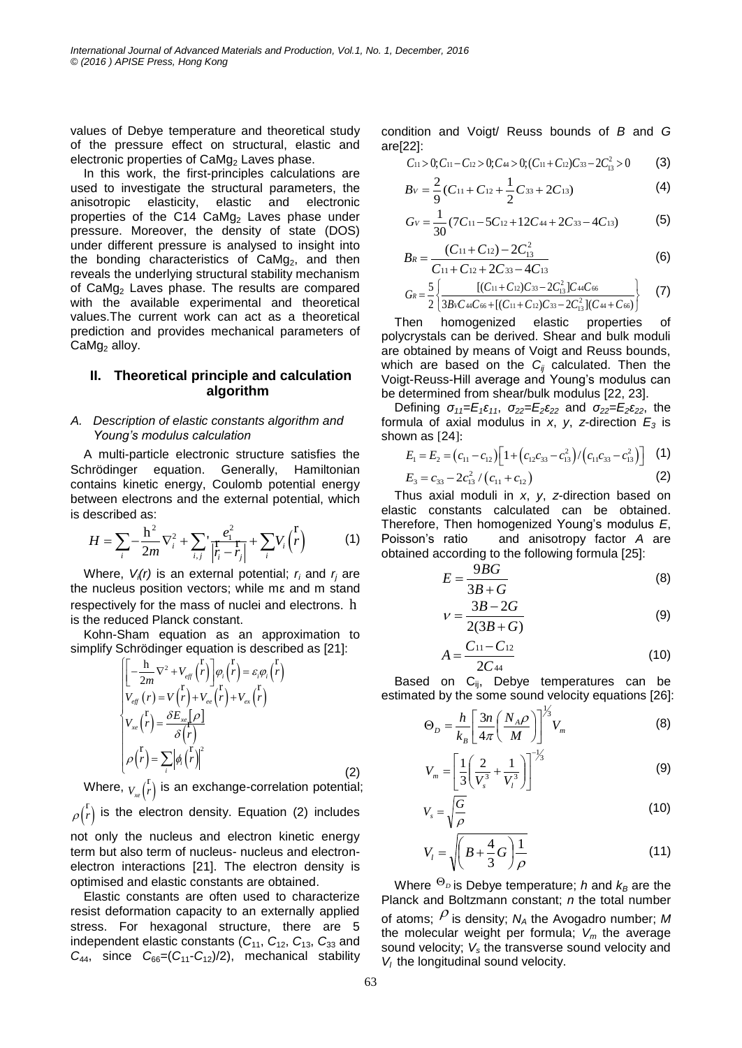values of Debye temperature and theoretical study of the pressure effect on structural, elastic and electronic properties of  $CaMg<sub>2</sub>$  Laves phase.

In this work, the first-principles calculations are used to investigate the structural parameters, the anisotropic elasticity, elastic and electronic properties of the C14  $CaMg<sub>2</sub>$  Laves phase under pressure. Moreover, the density of state (DOS) under different pressure is analysed to insight into the bonding characteristics of CaMg<sub>2</sub>, and then reveals the underlying structural stability mechanism of CaMg<sup>2</sup> Laves phase. The results are compared with the available experimental and theoretical values.The current work can act as a theoretical prediction and provides mechanical parameters of  $CaMg<sub>2</sub>$  alloy.

# **II. Theoretical principle and calculation algorithm**

#### *A. Description of elastic constants algorithm and Young's modulus calculation*

A multi-particle electronic structure satisfies the Schrödinger equation. Generally, Hamiltonian contains kinetic energy, Coulomb potential energy between electrons and the external potential, which is described as:

described as:  
\n
$$
H = \sum_{i} -\frac{h^{2}}{2m} \nabla_{i}^{2} + \sum_{i,j} \left| \frac{e_{i}^{2}}{r_{i} - r_{j}} \right| + \sum_{i} V_{i} \left( \frac{r}{r} \right)
$$
\n(1)

Where,  $V_i(r)$  is an external potential;  $r_i$  and  $r_j$  are the nucleus position vectors; while mε and m stand respectively for the mass of nuclei and electrons. h is the reduced Planck constant.

Kohn-Sham equation as an approximation to

simplify Schrödinger equation is described as [21]:  
\n
$$
\begin{bmatrix}\n\begin{bmatrix}\n-\frac{\mathbf{h}}{2m}\nabla^2 + V_{\text{eff}}\n\end{bmatrix}\n\begin{bmatrix}\np\end{bmatrix}\varphi_i\begin{bmatrix}\nr\end{bmatrix} = \varepsilon_i\varphi_i\begin{bmatrix}\nr\end{bmatrix}
$$
\n
$$
V_{\text{eff}}\n\begin{bmatrix}\nr\end{bmatrix} = V\begin{bmatrix}\nr\end{bmatrix} + V_{\text{ex}}\begin{bmatrix}\nr\end{bmatrix} + V_{\text{ex}}\begin{bmatrix}\nr\end{bmatrix}
$$
\n
$$
V_{\text{xe}}\begin{bmatrix}\nr\end{bmatrix} = \frac{\partial E_{\text{xe}}[\rho]}{\partial \begin{bmatrix}\nr\end{bmatrix}}
$$
\n
$$
\rho\begin{bmatrix}\nr\end{bmatrix} = \sum_i |\phi_i\begin{bmatrix}\nr\end{bmatrix}|^2
$$
\n(2)

Where,  $_{V_{xe}}({\bf \vec{r}})$  i  $\binom{r}{r}$  is an exchange-correlation potential;  $\frac{r}{r}$ ) is the electron density. Equation (2) includes

 $\rho(r)$ not only the nucleus and electron kinetic energy term but also term of nucleus- nucleus and electronelectron interactions [21]. The electron density is optimised and elastic constants are obtained.

Elastic constants are often used to characterize resist deformation capacity to an externally applied stress. For hexagonal structure, there are 5 independent elastic constants  $(C_{11}, C_{12}, C_{13}, C_{33}$  and  $C_{44}$ , since  $C_{66}=(C_{11}-C_{12})/2$ , mechanical stability condition and Voigt/ Reuss bounds of *B* and *G* are[22]: 22]:<br>
C<sub>11</sub> > 0;C<sub>11</sub> - C<sub>12</sub> > 0;C<sub>44</sub> > 0;(C<sub>11</sub> + C<sub>12</sub>)C<sub>33</sub> - 2C<sub>13</sub><sup>2</sup> > 0 (3)

$$
C_{11} > 0; C_{11} - C_{12} > 0; C_{44} > 0; (C_{11} + C_{12})C_{33} - 2C_{13}^{2} > 0
$$
 (3)

$$
B_V = \frac{2}{9}(C_{11} + C_{12} + \frac{1}{2}C_{33} + 2C_{13})
$$
 (4)

$$
G_V = \frac{1}{30} (7C_{11} - 5C_{12} + 12C_{44} + 2C_{33} - 4C_{13})
$$
 (5)

$$
B_R = \frac{(C_{11} + C_{12}) - 2C_{13}^2}{C_{11} + C_{12} + 2C_{33} - 4C_{13}}
$$
(6)

$$
G_R = \frac{5}{2} \left\{ \frac{[(C_{11}+C_{12})C_{33}-2C_{13}^2]C_{44}C_{66}}{3BvC_{44}C_{66}+[(C_{11}+C_{12})C_{33}-2C_{13}^2](C_{44}+C_{66})} \right\}
$$
(7)

Then homogenized elastic properties of polycrystals can be derived. Shear and bulk moduli are obtained by means of Voigt and Reuss bounds, which are based on the *Cij* calculated. Then the Voigt-Reuss-Hill average and Young's modulus can be determined from shear/bulk modulus [22, 23].

Defining  $σ_{11} = E_1 ε_{11}$ ,  $σ_{22} = E_2 ε_{22}$  and  $σ_{22} = E_2 ε_{22}$ , the formula of axial modulus in  $x$ ,  $y$ ,  $z$ -direction  $E_3$  is shown as [24]:

$$
E_1 = E_2 = (c_{11} - c_{12}) \left[ 1 + (c_{12}c_{33} - c_{13}^2) / (c_{11}c_{33} - c_{13}^2) \right]
$$
 (1)

$$
E_3 = c_{33} - 2c_{13}^2/(c_{11} + c_{12})
$$
 (2)

Thus axial moduli in *x*, *y*, *z*-direction based on elastic constants calculated can be obtained. Therefore, Then homogenized Young's modulus *E*, Poisson's ratio and anisotropy factor *A* are obtained according to the following formula [25]:

$$
E = \frac{9BG}{3B + G} \tag{8}
$$

$$
V = \frac{3B - 2G}{2(3B + G)}
$$
(9)

$$
A = \frac{C_{11} - C_{12}}{2C_{44}} \tag{10}
$$

Based on  $C_{ij}$ , Debye temperatures can be estimated by the some sound velocity equations [26]:

$$
\Theta_D = \frac{h}{k_B} \left[ \frac{3n}{4\pi} \left( \frac{N_A \rho}{M} \right) \right]^{1/3} V_m \tag{8}
$$

$$
V_m = \left[\frac{1}{3}\left(\frac{2}{V_s^3} + \frac{1}{V_l^3}\right)\right]^{-\frac{1}{3}}
$$
(9)

$$
V_s = \sqrt{\frac{G}{\rho}}\tag{10}
$$

$$
V_{l} = \sqrt{\left(B + \frac{4}{3}G\right)\frac{1}{\rho}}
$$
 (11)

Where  ${}^{\Theta_D}$  is Debye temperature; *h* and  $k_B$  are the Planck and Boltzmann constant; *n* the total number of atoms;  $\rho$  is density;  $N_A$  the Avogadro number; M the molecular weight per formula; *V<sup>m</sup>* the average sound velocity; *V<sup>s</sup>* the transverse sound velocity and  $V_i$  the longitudinal sound velocity.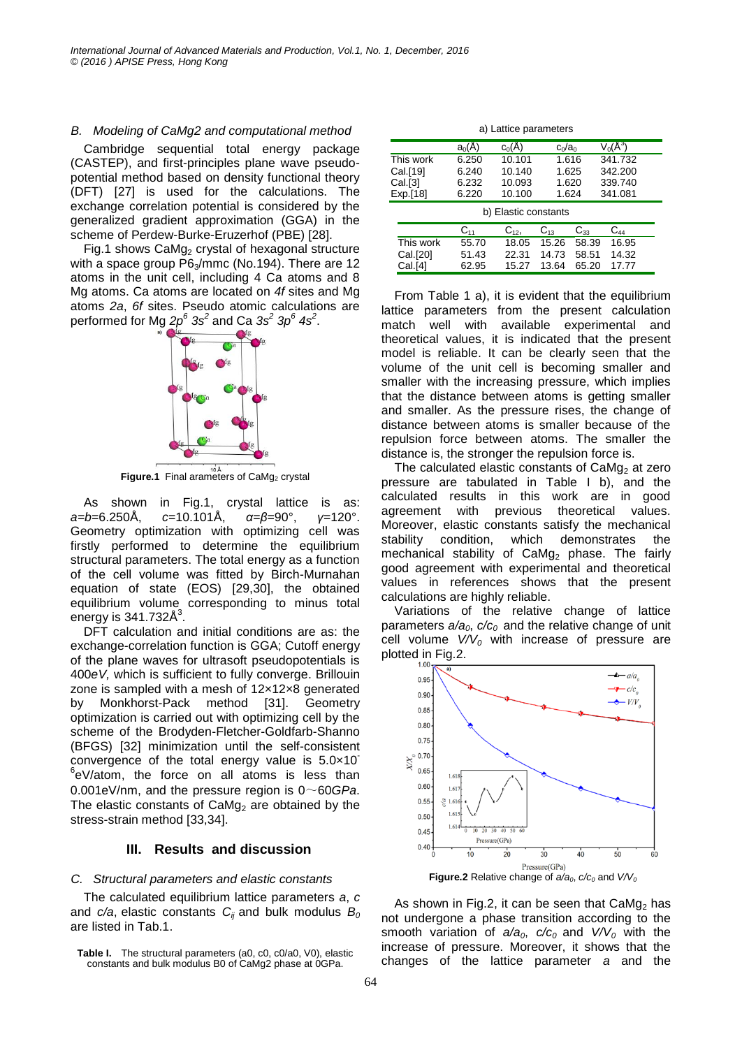#### *B. Modeling of CaMg2 and computational method*

Cambridge sequential total energy package (CASTEP), and first-principles plane wave pseudopotential method based on density functional theory (DFT) [27] is used for the calculations. The exchange correlation potential is considered by the generalized gradient approximation (GGA) in the scheme of Perdew-Burke-Eruzerhof (PBE) [28].

Fig.1 shows  $CaMg<sub>2</sub>$  crystal of hexagonal structure with a space group  $P6_3/mmc$  (No.194). There are 12 atoms in the unit cell, including 4 Ca atoms and 8 Mg atoms. Ca atoms are located on *4f* sites and Mg atoms *2a*, *6f* sites. Pseudo atomic calculations are performed for Mg *2p<sup>6</sup> 3s<sup>2</sup>* and Ca *3s<sup>2</sup> 3p<sup>6</sup> 4s<sup>2</sup>* .



**Figure.1** Final arameters of CaMg<sub>2</sub> crystal

As shown in Fig.1, crystal lattice is as: *a=b*=6.250Å, *c*=10.101Å, *α=β*=90°, *γ*=120°. Geometry optimization with optimizing cell was firstly performed to determine the equilibrium structural parameters. The total energy as a function of the cell volume was fitted by Birch-Murnahan equation of state (EOS) [29,30], the obtained equilibrium volume corresponding to minus total energy is  $341.732\text{\AA}^3$ .

DFT calculation and initial conditions are as: the exchange-correlation function is GGA; Cutoff energy of the plane waves for ultrasoft pseudopotentials is 400*eV,* which is sufficient to fully converge. Brillouin zone is sampled with a mesh of 12×12×8 generated by Monkhorst-Pack method [31]. Geometry optimization is carried out with optimizing cell by the scheme of the Brodyden-Fletcher-Goldfarb-Shanno (BFGS) [32] minimization until the self-consistent convergence of the total energy value is  $5.0 \times 10^{-7}$ 6 eV/atom, the force on all atoms is less than 0.001eV/nm, and the pressure region is 0~60*GPa*. The elastic constants of  $CaMg<sub>2</sub>$  are obtained by the stress-strain method [33,34].

## **III. Results and discussion**

## *C. Structural parameters and elastic constants*

The calculated equilibrium lattice parameters *a*, *c* and *c/a*, elastic constants *Cij* and bulk modulus *B<sup>0</sup>* are listed in Tab.1.

a) Lattice parameters

|                      | $a_0(A)$ | $c_0(\AA)$ | $c_0/a_0$            |       | $V_0(\AA^3)$ |  |  |
|----------------------|----------|------------|----------------------|-------|--------------|--|--|
| This work            | 6.250    | 10.101     | 1.616                |       | 341.732      |  |  |
| Cal.[19]             | 6.240    | 10.140     | 1.625                |       | 342.200      |  |  |
| Cal.[3]              | 6.232    | 10.093     | 1.620                |       | 339.740      |  |  |
| Exp.[18]             | 6.220    | 10.100     | 1.624                |       | 341.081      |  |  |
| b) Elastic constants |          |            |                      |       |              |  |  |
|                      | $C_{11}$ | $C_{12}$   | $C_{33}$<br>$C_{13}$ |       | C44          |  |  |
| This work            | 55.70    | 18.05      | 15.26                | 58.39 | 16.95        |  |  |
| Cal.[20]             | 51.43    | 22.31      | 14.73                | 58.51 | 14.32        |  |  |
| Cal.[4]              | 62.95    | 15.27      | 13.64                | 65.20 | 17.77        |  |  |

From Table 1 a), it is evident that the equilibrium lattice parameters from the present calculation match well with available experimental and theoretical values, it is indicated that the present model is reliable. It can be clearly seen that the volume of the unit cell is becoming smaller and smaller with the increasing pressure, which implies that the distance between atoms is getting smaller and smaller. As the pressure rises, the change of distance between atoms is smaller because of the repulsion force between atoms. The smaller the distance is, the stronger the repulsion force is.

The calculated elastic constants of  $CaMg<sub>2</sub>$  at zero pressure are tabulated in Table I b), and the calculated results in this work are in good agreement with previous theoretical values. Moreover, elastic constants satisfy the mechanical stability condition, which demonstrates the mechanical stability of  $CaMg<sub>2</sub>$  phase. The fairly good agreement with experimental and theoretical values in references shows that the present calculations are highly reliable.

Variations of the relative change of lattice parameters *a/a0*, *c/c0* and the relative change of unit cell volume  $V/V<sub>0</sub>$  with increase of pressure are plotted in Fig.2.



As shown in Fig.2, it can be seen that  $CaMg<sub>2</sub>$  has not undergone a phase transition according to the smooth variation of  $a/a<sub>0</sub>$ ,  $c/c<sub>0</sub>$  and  $V/V<sub>0</sub>$  with the increase of pressure. Moreover, it shows that the changes of the lattice parameter *a* and the

**Table I.** The structural parameters (a0, c0, c0/a0, V0), elastic constants and bulk modulus B0 of CaMg2 phase at 0GPa.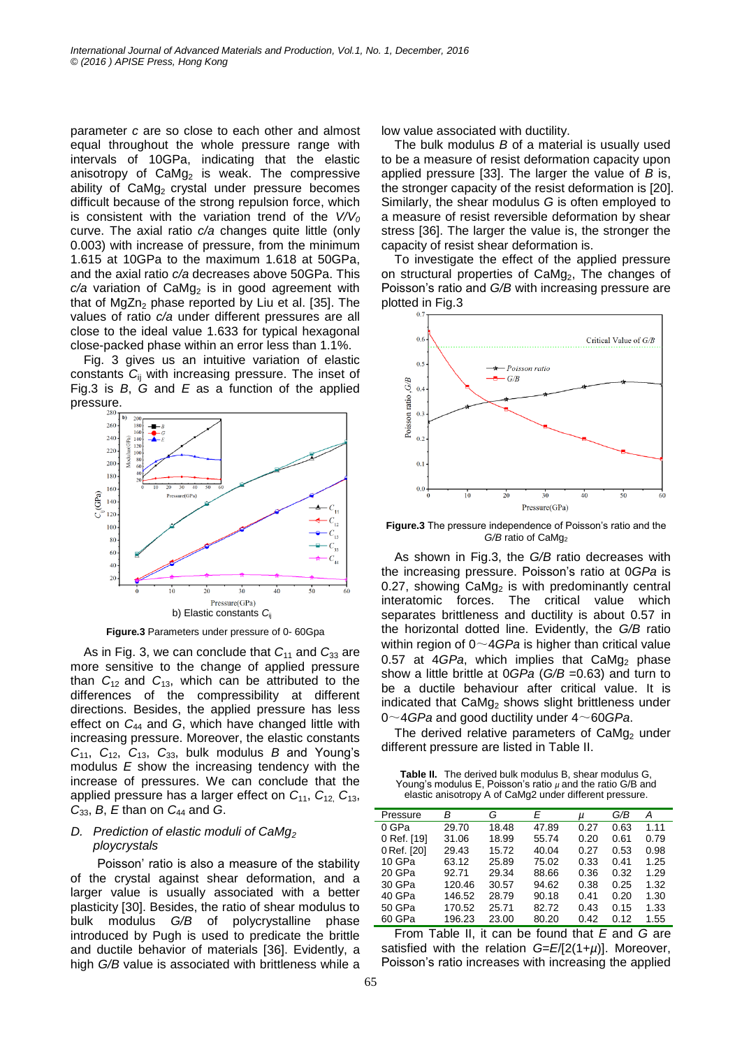parameter *c* are so close to each other and almost equal throughout the whole pressure range with intervals of 10GPa, indicating that the elastic anisotropy of  $CaMg<sub>2</sub>$  is weak. The compressive ability of  $CaMq<sub>2</sub>$  crystal under pressure becomes difficult because of the strong repulsion force, which is consistent with the variation trend of the  $V/V_0$ curve. The axial ratio *c/a* changes quite little (only 0.003) with increase of pressure, from the minimum 1.615 at 10GPa to the maximum 1.618 at 50GPa, and the axial ratio *c/a* decreases above 50GPa. This  $c/a$  variation of  $CaMg<sub>2</sub>$  is in good agreement with that of  $MgZn<sub>2</sub>$  phase reported by Liu et al. [35]. The values of ratio *c/a* under different pressures are all close to the ideal value 1.633 for typical hexagonal close-packed phase within an error less than 1.1%.

Fig. 3 gives us an intuitive variation of elastic constants *C*ij with increasing pressure. The inset of Fig.3 is *B*, *G* and *E* as a function of the applied pressure.



**Figure.3** Parameters under pressure of 0- 60Gpa

As in Fig. 3, we can conclude that  $C_{11}$  and  $C_{33}$  are more sensitive to the change of applied pressure than  $C_{12}$  and  $C_{13}$ , which can be attributed to the differences of the compressibility at different directions. Besides, the applied pressure has less effect on *C*<sup>44</sup> and *G*, which have changed little with increasing pressure. Moreover, the elastic constants *C*11, *C*12, *C*13, *C*33, bulk modulus *B* and Young's modulus *E* show the increasing tendency with the increase of pressures. We can conclude that the applied pressure has a larger effect on *C*11, *C*12, *C*13, *C*33, *B*, *E* than on *C*<sup>44</sup> and *G*.

## *D. Prediction of elastic moduli of CaMg<sup>2</sup> ploycrystals*

Poisson' ratio is also a measure of the stability of the crystal against shear deformation, and a larger value is usually associated with a better plasticity [30]. Besides, the ratio of shear modulus to bulk modulus *G/B* of polycrystalline phase introduced by Pugh is used to predicate the brittle and ductile behavior of materials [36]. Evidently, a high *G/B* value is associated with brittleness while a low value associated with ductility.

The bulk modulus *B* of a material is usually used to be a measure of resist deformation capacity upon applied pressure [33]. The larger the value of *B* is, the stronger capacity of the resist deformation is [20]. Similarly, the shear modulus *G* is often employed to a measure of resist reversible deformation by shear stress [36]. The larger the value is, the stronger the capacity of resist shear deformation is.

To investigate the effect of the applied pressure on structural properties of CaMg<sub>2</sub>, The changes of Poisson's ratio and *G/B* with increasing pressure are plotted in Fig.3



**Figure.3** The pressure independence of Poisson's ratio and the *G/B* ratio of CaMg<sup>2</sup>

As shown in Fig.3, the *G/B* ratio decreases with the increasing pressure. Poisson's ratio at 0*GPa* is 0.27, showing  $CaMg<sub>2</sub>$  is with predominantly central interatomic forces. The critical value which separates brittleness and ductility is about 0.57 in the horizontal dotted line. Evidently, the *G/B* ratio within region of 0~4*GPa* is higher than critical value 0.57 at  $4GPa$ , which implies that  $CaMg<sub>2</sub>$  phase show a little brittle at 0*GPa* (*G/B* =0.63) and turn to be a ductile behaviour after critical value. It is indicated that CaMg<sub>2</sub> shows slight brittleness under 0~4*GPa* and good ductility under 4~60*GPa*.

The derived relative parameters of  $CaMq<sub>2</sub>$  under different pressure are listed in Table II.

| <b>Table II.</b> The derived bulk modulus B, shear modulus G.  |
|----------------------------------------------------------------|
| Young's modulus E, Poisson's ratio $\mu$ and the ratio G/B and |
| elastic anisotropy A of CaMg2 under different pressure.        |

| Pressure    | в      | G     | E     | μ    | G/B  | А    |
|-------------|--------|-------|-------|------|------|------|
| 0 GPa       | 29.70  | 18.48 | 47.89 | 0.27 | 0.63 | 1.11 |
| 0 Ref. [19] | 31.06  | 18.99 | 55.74 | 0.20 | 0.61 | 0.79 |
| 0 Ref. [20] | 29.43  | 15.72 | 40.04 | 0.27 | 0.53 | 0.98 |
| 10 GPa      | 63.12  | 25.89 | 75.02 | 0.33 | 0.41 | 1.25 |
| 20 GPa      | 92.71  | 29.34 | 88.66 | 0.36 | 0.32 | 1.29 |
| 30 GPa      | 120.46 | 30.57 | 94.62 | 0.38 | 0.25 | 1.32 |
| 40 GPa      | 146.52 | 28.79 | 90.18 | 0.41 | 0.20 | 1.30 |
| 50 GPa      | 170.52 | 25.71 | 82.72 | 0.43 | 0.15 | 1.33 |
| 60 GPa      | 196.23 | 23.00 | 80.20 | 0.42 | 0.12 | 1.55 |

From Table II, it can be found that *E* and *G* are satisfied with the relation *G*=*E*/[2(1+*µ*)]. Moreover, Poisson's ratio increases with increasing the applied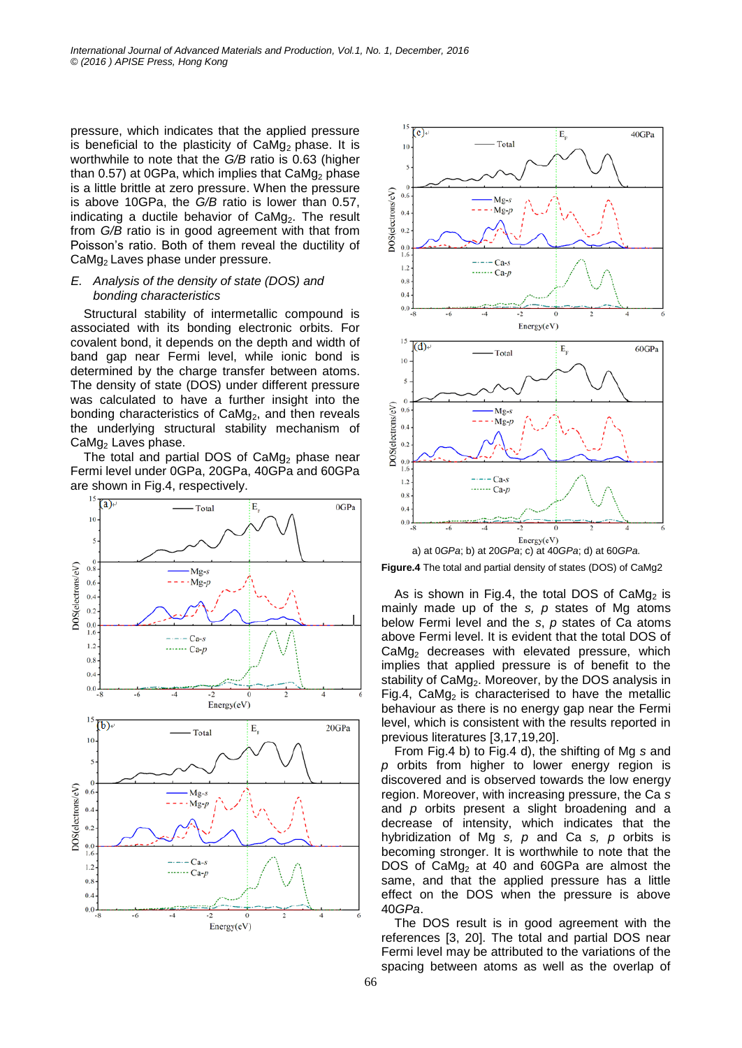pressure, which indicates that the applied pressure is beneficial to the plasticity of  $CaMq<sub>2</sub>$  phase. It is worthwhile to note that the *G/B* ratio is 0.63 (higher than  $0.57$ ) at  $0GPa$ , which implies that  $CaMq<sub>2</sub>$  phase is a little brittle at zero pressure. When the pressure is above 10GPa, the *G/B* ratio is lower than 0.57, indicating a ductile behavior of  $CaMg<sub>2</sub>$ . The result from *G/B* ratio is in good agreement with that from Poisson's ratio. Both of them reveal the ductility of CaMg2 Laves phase under pressure.

## *E. Analysis of the density of state (DOS) and bonding characteristics*

Structural stability of intermetallic compound is associated with its bonding electronic orbits. For covalent bond, it depends on the depth and width of band gap near Fermi level, while ionic bond is determined by the charge transfer between atoms. The density of state (DOS) under different pressure was calculated to have a further insight into the bonding characteristics of  $CaMg<sub>2</sub>$ , and then reveals the underlying structural stability mechanism of CaMg<sub>2</sub> Laves phase.

The total and partial DOS of  $CaMq<sub>2</sub>$  phase near Fermi level under 0GPa, 20GPa, 40GPa and 60GPa





**Figure.4** The total and partial density of states (DOS) of CaMg2

As is shown in Fig.4, the total DOS of  $CaMg<sub>2</sub>$  is mainly made up of the *s, p* states of Mg atoms below Fermi level and the *s*, *p* states of Ca atoms above Fermi level. It is evident that the total DOS of  $CaMg<sub>2</sub>$  decreases with elevated pressure, which implies that applied pressure is of benefit to the stability of  $CaMg<sub>2</sub>$ . Moreover, by the DOS analysis in Fig.4, CaMg<sub>2</sub> is characterised to have the metallic behaviour as there is no energy gap near the Fermi level, which is consistent with the results reported in previous literatures [3,17,19,20].

From Fig.4 b) to Fig.4 d), the shifting of Mg *s* and *p* orbits from higher to lower energy region is discovered and is observed towards the low energy region. Moreover, with increasing pressure, the Ca *s* and *p* orbits present a slight broadening and a decrease of intensity, which indicates that the hybridization of Mg *s, p* and Ca *s, p* orbits is becoming stronger. It is worthwhile to note that the DOS of  $CaMq<sub>2</sub>$  at 40 and 60GPa are almost the same, and that the applied pressure has a little effect on the DOS when the pressure is above 40*GPa*.

The DOS result is in good agreement with the references [3, 20]. The total and partial DOS near Fermi level may be attributed to the variations of the spacing between atoms as well as the overlap of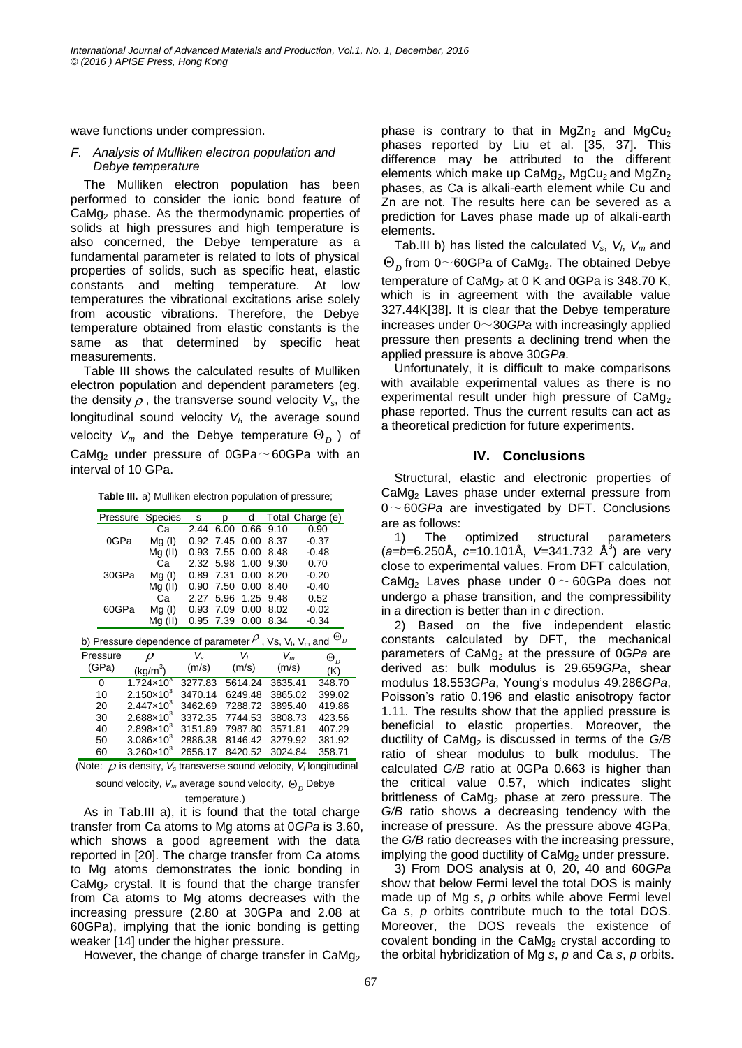wave functions under compression.

#### *F. Analysis of Mulliken electron population and Debye temperature*

The Mulliken electron population has been performed to consider the ionic bond feature of  $CaMg<sub>2</sub>$  phase. As the thermodynamic properties of solids at high pressures and high temperature is also concerned, the Debye temperature as a fundamental parameter is related to lots of physical properties of solids, such as specific heat, elastic constants and melting temperature. At low temperatures the vibrational excitations arise solely from acoustic vibrations. Therefore, the Debye temperature obtained from elastic constants is the same as that determined by specific heat measurements.

Table III shows the calculated results of Mulliken electron population and dependent parameters (eg. the density  $\rho$  , the transverse sound velocity  $V_{s}$ , the longitudinal sound velocity *V<sup>l</sup>* , the average sound velocity  $V_m$  and the Debye temperature  $\Theta_D$  ) of CaMg<sub>2</sub> under pressure of 0GPa $\sim$ 60GPa with an interval of 10 GPa.

**Table III.** a) Mulliken electron population of pressure;

|                                                                                                         | Pressure<br><b>Species</b> |                       | s       | р    | d       |         |         | Total Charge (e) |
|---------------------------------------------------------------------------------------------------------|----------------------------|-----------------------|---------|------|---------|---------|---------|------------------|
| 0GPa                                                                                                    |                            | Сa                    | 2.44    | 6.00 | 0.66    | 9.10    |         | 0.90             |
|                                                                                                         |                            | Mg(1)                 | 0.92    | 7.45 | 0.00    | 8.37    |         | $-0.37$          |
|                                                                                                         |                            |                       | 0.93    | 7.55 | 0.00    | 8.48    | $-0.48$ |                  |
|                                                                                                         |                            |                       | 2.32    | 5.98 | 1.00    | 9.30    |         | 0.70             |
| 30GPa                                                                                                   |                            | Mg(1)                 | 0.89    | 7.31 | 0.00    | 8.20    | $-0.20$ |                  |
|                                                                                                         |                            |                       | 0.90    | 7.50 | 0.00    | 8.40    |         | $-0.40$          |
|                                                                                                         |                            | Сa                    | 2.27    | 5.96 | 1.25    | 9.48    |         | 0.52             |
|                                                                                                         | 60GPa                      |                       | 0.93    | 7.09 | 0.00    | 8.02    |         | $-0.02$          |
|                                                                                                         | Mg (II)                    |                       | 0.95    | 7.39 | 0.00    | 8.34    |         | $-0.34$          |
| $\Theta_{D}$<br>b) Pressure dependence of parameter $^{\rho}$ , Vs, V <sub>I</sub> , V <sub>m</sub> and |                            |                       |         |      |         |         |         |                  |
| Pressure                                                                                                |                            | $\rho$                | V,      |      | V,      |         | $V_m$   | $\Theta_D$       |
| (GPa)                                                                                                   |                            | (kg/m <sup>3</sup> )  | (m/s)   |      | (m/s)   | (m/s)   |         | (K)              |
| 0                                                                                                       |                            | $1.724 \times 10^{3}$ | 3277.83 |      | 5614.24 | 3635.41 |         | 348.70           |
| 10                                                                                                      |                            | $2.150\times10^{3}$   | 3470.14 |      | 6249.48 | 3865.02 |         | 399.02           |
| 20                                                                                                      |                            | $2.447 \times 10^{3}$ | 3462.69 |      | 7288.72 | 3895.40 |         | 419.86           |
| 30                                                                                                      |                            | $2.688 \times 10^{3}$ | 3372.35 |      | 7744.53 | 3808.73 |         | 423.56           |
| 40                                                                                                      |                            | $2.898 \times 10^{3}$ | 3151.89 |      | 7987.80 | 3571.81 |         | 407.29           |
| 50                                                                                                      |                            | $3.086 \times 10^{3}$ | 2886.38 |      | 8146.42 | 3279.92 |         | 381.92           |
| 60                                                                                                      |                            | $3.260\times10^{3}$   | 2656.17 |      | 8420.52 | 3024.84 |         | 358.71           |
|                                                                                                         |                            |                       |         |      |         |         |         |                  |

(Note:  $\rho$  is density,  $V_s$  transverse sound velocity,  $V_l$  longitudinal

sound velocity, *V<sup>m</sup>* average sound velocity, *<sup>D</sup>* Debye temperature.)

As in Tab.III a), it is found that the total charge

transfer from Ca atoms to Mg atoms at 0*GPa* is 3.60, which shows a good agreement with the data reported in [20]. The charge transfer from Ca atoms to Mg atoms demonstrates the ionic bonding in CaMg<sub>2</sub> crystal. It is found that the charge transfer from Ca atoms to Mg atoms decreases with the increasing pressure (2.80 at 30GPa and 2.08 at 60GPa), implying that the ionic bonding is getting weaker [14] under the higher pressure.

However, the change of charge transfer in CaMg<sub>2</sub>

phase is contrary to that in  $MgZn<sub>2</sub>$  and  $MgCu<sub>2</sub>$ phases reported by Liu et al. [35, 37]. This difference may be attributed to the different elements which make up  $CaMq_2$ ,  $MqCu_2$  and  $MqZn_2$ phases, as Ca is alkali-earth element while Cu and Zn are not. The results here can be severed as a prediction for Laves phase made up of alkali-earth elements.

Tab.III b) has listed the calculated *Vs*, *V<sup>l</sup>* , *V<sup>m</sup>* and  $\Theta_D$  from 0~60GPa of CaMg<sub>2</sub>. The obtained Debye temperature of  $CaMg<sub>2</sub>$  at 0 K and 0GPa is 348.70 K, which is in agreement with the available value 327.44K[38]. It is clear that the Debye temperature increases under 0~30*GPa* with increasingly applied pressure then presents a declining trend when the applied pressure is above 30*GPa*.

Unfortunately, it is difficult to make comparisons with available experimental values as there is no experimental result under high pressure of  $C_1$ aMg<sub>2</sub> phase reported. Thus the current results can act as a theoretical prediction for future experiments.

## **IV. Conclusions**

Structural, elastic and electronic properties of CaMg<sup>2</sup> Laves phase under external pressure from 0~60*GPa* are investigated by DFT. Conclusions are as follows:

1) The optimized structural parameters (*a=b*=6.250Å, *c*=10.101Å, V=341.732 Å<sup>3</sup>) are very close to experimental values. From DFT calculation, CaMg<sub>2</sub> Laves phase under  $0 \sim 60$ GPa does not undergo a phase transition, and the compressibility in *a* direction is better than in *c* direction.

2) Based on the five independent elastic constants calculated by DFT, the mechanical parameters of CaMg<sub>2</sub> at the pressure of 0*GPa* are derived as: bulk modulus is 29.659*GPa*, shear modulus 18.553*GPa*, Young's modulus 49.286*GPa*, Poisson's ratio 0.196 and elastic anisotropy factor 1.11*.* The results show that the applied pressure is beneficial to elastic properties. Moreover, the ductility of CaMg<sub>2</sub> is discussed in terms of the G/B ratio of shear modulus to bulk modulus. The calculated *G/B* ratio at 0GPa 0.663 is higher than the critical value 0.57, which indicates slight brittleness of CaMg<sub>2</sub> phase at zero pressure. The *G/B* ratio shows a decreasing tendency with the increase of pressure. As the pressure above 4GPa, the *G/B* ratio decreases with the increasing pressure, implying the good ductility of  $CaMg<sub>2</sub>$  under pressure.

3) From DOS analysis at 0, 20, 40 and 60*GPa* show that below Fermi level the total DOS is mainly made up of Mg *s*, *p* orbits while above Fermi level Ca *s*, *p* orbits contribute much to the total DOS. Moreover, the DOS reveals the existence of covalent bonding in the  $CaMg<sub>2</sub>$  crystal according to the orbital hybridization of Mg *s*, *p* and Ca *s*, *p* orbits.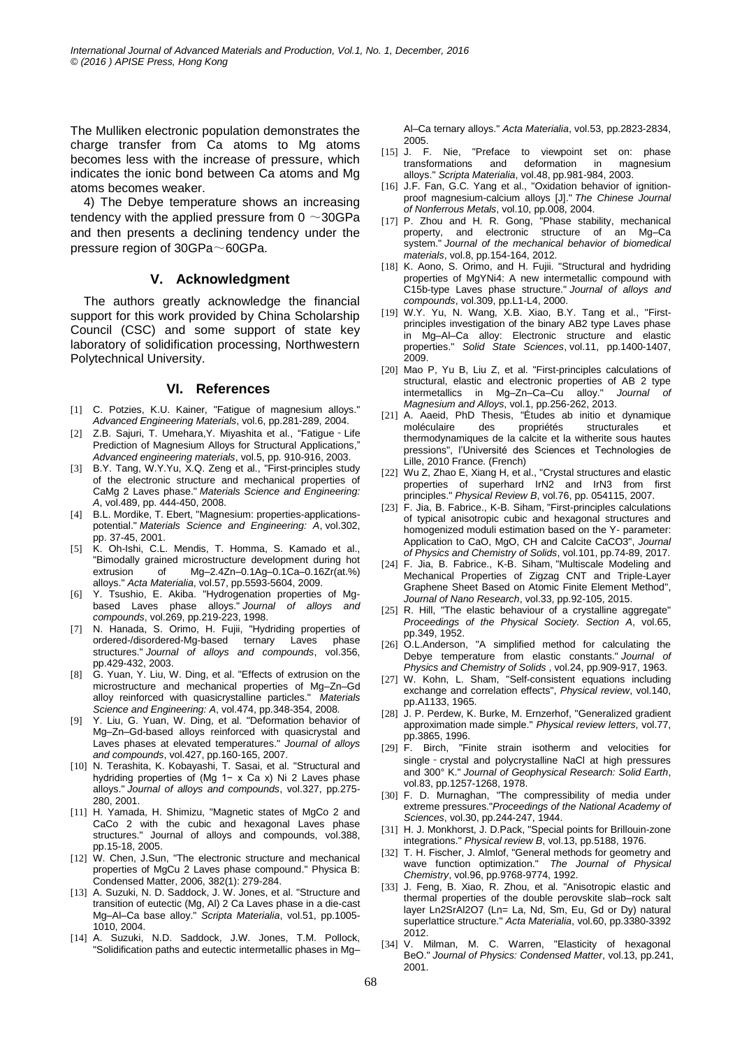The Mulliken electronic population demonstrates the charge transfer from Ca atoms to Mg atoms becomes less with the increase of pressure, which indicates the ionic bond between Ca atoms and Mg atoms becomes weaker.

4) The Debye temperature shows an increasing tendency with the applied pressure from  $0 \sim 30$ GPa and then presents a declining tendency under the pressure region of 30GPa~60GPa.

#### **V. Acknowledgment**

The authors greatly acknowledge the financial support for this work provided by China Scholarship Council (CSC) and some support of state key laboratory of solidification processing, Northwestern Polytechnical University.

#### **VI. References**

- [1] C. Potzies, K.U. Kainer, "Fatigue of magnesium alloys." *Advanced Engineering Materials*, vol.6, pp.281-289, 2004.
- [2] Z.B. Sajuri, T. Umehara, Y. Miyashita et al., "Fatigue Life Prediction of Magnesium Alloys for Structural Applications," *Advanced engineering materials*, vol.5, pp. 910-916, 2003.
- [3] B.Y. Tang, W.Y.Yu, X.Q. Zeng et al., "First-principles study of the electronic structure and mechanical properties of CaMg 2 Laves phase." *Materials Science and Engineering: A*, vol.489, pp. 444-450, 2008.
- [4] B.L. Mordike, T. Ebert, "Magnesium: properties-applicationspotential." *Materials Science and Engineering: A*, vol.302, pp. 37-45, 2001.
- [5] K. Oh-Ishi, C.L. Mendis, T. Homma, S. Kamado et al., "Bimodally grained microstructure development during hot extrusion of Mg–2.4Zn–0.1Ag–0.1Ca–0.16Zr(at.%) alloys." *Acta Materialia*, vol.57, pp.5593-5604, 2009.
- [6] Y. Tsushio, E. Akiba. "Hydrogenation properties of Mgbased Laves phase alloys." *Journal of alloys and compounds*, vol.269, pp.219-223, 1998.
- [7] N. Hanada, S. Orimo, H. Fujii, "Hydriding properties of ordered-/disordered-Mg-based ternary Laves phase structures." *Journal of alloys and compounds*, vol.356, pp.429-432, 2003.
- [8] G. Yuan, Y. Liu, W. Ding, et al. "Effects of extrusion on the microstructure and mechanical properties of Mg–Zn–Gd alloy reinforced with quasicrystalline particles." *Materials Science and Engineering: A*, vol.474, pp.348-354, 2008.
- [9] Y. Liu, G. Yuan, W. Ding, et al. "Deformation behavior of Mg–Zn–Gd-based alloys reinforced with quasicrystal and Laves phases at elevated temperatures." *Journal of alloys and compounds*, vol.427, pp.160-165, 2007.
- [10] N. Terashita, K. Kobayashi, T. Sasai, et al. "Structural and hydriding properties of (Mg 1− x Ca x) Ni 2 Laves phase alloys." *Journal of alloys and compounds*, vol.327, pp.275- 280, 2001.
- [11] H. Yamada, H. Shimizu, "Magnetic states of MgCo 2 and CaCo 2 with the cubic and hexagonal Laves phase structures." Journal of alloys and compounds, vol.388, pp.15-18, 2005.
- [12] W. Chen, J.Sun, "The electronic structure and mechanical properties of MgCu 2 Laves phase compound." Physica B: Condensed Matter, 2006, 382(1): 279-284.
- [13] A. Suzuki, N. D. Saddock, J. W. Jones, et al. "Structure and transition of eutectic (Mg, Al) 2 Ca Laves phase in a die-cast Mg–Al–Ca base alloy." *Scripta Materialia*, vol.51, pp.1005- 1010, 2004.
- [14] A. Suzuki, N.D. Saddock, J.W. Jones, T.M. Pollock, "Solidification paths and eutectic intermetallic phases in Mg–

Al–Ca ternary alloys." *Acta Materialia*, vol.53, pp.2823-2834, 2005.

- [15] J. F. Nie, "Preface to viewpoint set on: phase transformations and deformation in magnesium alloys." *Scripta Materialia*, vol.48, pp.981-984, 2003.
- [16] J.F. Fan, G.C. Yang et al., "Oxidation behavior of ignitionproof magnesium-calcium alloys [J]." *The Chinese Journal of Nonferrous Metals*, vol.10, pp.008, 2004.
- [17] P. Zhou and H. R. Gong, "Phase stability, mechanical property, and electronic structure of an Mg–Ca system." *Journal of the mechanical behavior of biomedical materials*, vol.8, pp.154-164, 2012.
- [18] K. Aono, S. Orimo, and H. Fujii. "Structural and hydriding properties of MgYNi4: A new intermetallic compound with C15b-type Laves phase structure." *Journal of alloys and compounds*, vol.309, pp.L1-L4, 2000.
- [19] W.Y. Yu, N. Wang, X.B. Xiao, B.Y. Tang et al., "Firstprinciples investigation of the binary AB2 type Laves phase in Mg–Al–Ca alloy: Electronic structure and elastic properties." *Solid State Sciences*, vol.11, pp.1400-1407, 2009.
- [20] Mao P, Yu B, Liu Z, et al. "First-principles calculations of structural, elastic and electronic properties of AB 2 type intermetallics in Mg–Zn–Ca–Cu alloy." *Journal of Magnesium and Alloys*, vol.1, pp.256-262, 2013.
- [21] A. Aaeid, PhD Thesis, "Études ab initio et dynamique propriétés structurales et thermodynamiques de la calcite et la witherite sous hautes pressions", l'Université des Sciences et Technologies de Lille, 2010 France. (French)
- [22] Wu Z, Zhao E, Xiang H, et al., "Crystal structures and elastic properties of superhard IrN2 and IrN3 from first principles." *Physical Review B*, vol.76, pp. 054115, 2007.
- [23] F. Jia, B. Fabrice., K-B. Siham, "First-principles calculations of typical anisotropic cubic and hexagonal structures and homogenized moduli estimation based on the Y- parameter: Application to CaO, MgO, CH and Calcite CaCO3", *Journal of Physics and Chemistry of Solids*, vol.101, pp.74-89, 2017.
- [24] F. Jia, B. Fabrice., K-B. Siham, "Multiscale Modeling and Mechanical Properties of Zigzag CNT and Triple-Layer Graphene Sheet Based on Atomic Finite Element Method", *Journal of Nano Research*, vol.33, pp.92-105, 2015.
- [25] R. Hill, "The elastic behaviour of a crystalline aggregate" *Proceedings of the Physical Society. Section A*, vol.65, pp.349, 1952.
- [26] O.L.Anderson, "A simplified method for calculating the Debye temperature from elastic constants." *Journal of Physics and Chemistry of Solids* , vol.24, pp.909-917, 1963.
- [27] W. Kohn, L. Sham, "Self-consistent equations including exchange and correlation effects", *Physical review*, vol.140, pp.A1133, 1965.
- [28] J. P. Perdew, K. Burke, M. Ernzerhof, "Generalized gradient approximation made simple." *Physical review letters*, vol.77, pp.3865, 1996.
- [29] F. Birch, "Finite strain isotherm and velocities for single - crystal and polycrystalline NaCl at high pressures and 300° K." *Journal of Geophysical Research: Solid Earth*, vol.83, pp.1257-1268, 1978.
- [30] F. D. Murnaghan, "The compressibility of media under extreme pressures."*Proceedings of the National Academy of Sciences*, vol.30, pp.244-247, 1944.
- [31] H. J. Monkhorst, J. D.Pack, "Special points for Brillouin-zone integrations." *Physical review B*, vol.13, pp.5188, 1976.
- [32] T. H. Fischer, J. Almlof, "General methods for geometry and wave function optimization." *The Journal of Physical Chemistry*, vol.96, pp.9768-9774, 1992.
- [33] J. Feng, B. Xiao, R. Zhou, et al. "Anisotropic elastic and thermal properties of the double perovskite slab–rock salt layer Ln2SrAl2O7 (Ln= La, Nd, Sm, Eu, Gd or Dy) natural superlattice structure." *Acta Materialia*, vol.60, pp.3380-3392 2012.
- [34] V. Milman, M. C. Warren, "Elasticity of hexagonal BeO." *Journal of Physics: Condensed Matter*, vol.13, pp.241, 2001.